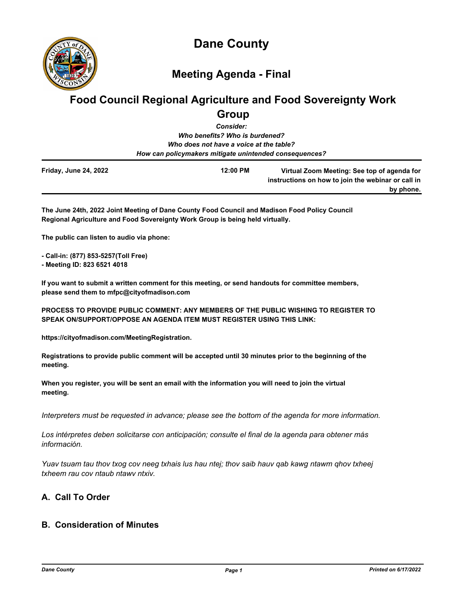

## **Meeting Agenda - Final**

# **Food Council Regional Agriculture and Food Sovereignty Work Group**

*Consider:*

*Who benefits? Who is burdened? Who does not have a voice at the table? How can policymakers mitigate unintended consequences?*

| <b>Friday, June 24, 2022</b> | 12:00 PM | Virtual Zoom Meeting: See top of agenda for        |
|------------------------------|----------|----------------------------------------------------|
|                              |          | instructions on how to join the webinar or call in |
|                              |          | by phone.                                          |

**The June 24th, 2022 Joint Meeting of Dane County Food Council and Madison Food Policy Council Regional Agriculture and Food Sovereignty Work Group is being held virtually.**

**The public can listen to audio via phone:**

**- Call-in: (877) 853-5257(Toll Free)**

**- Meeting ID: 823 6521 4018**

**If you want to submit a written comment for this meeting, or send handouts for committee members, please send them to mfpc@cityofmadison.com**

**PROCESS TO PROVIDE PUBLIC COMMENT: ANY MEMBERS OF THE PUBLIC WISHING TO REGISTER TO SPEAK ON/SUPPORT/OPPOSE AN AGENDA ITEM MUST REGISTER USING THIS LINK:**

**https://cityofmadison.com/MeetingRegistration.**

**Registrations to provide public comment will be accepted until 30 minutes prior to the beginning of the meeting.**

**When you register, you will be sent an email with the information you will need to join the virtual meeting.**

*Interpreters must be requested in advance; please see the bottom of the agenda for more information.*

*Los intérpretes deben solicitarse con anticipación; consulte el final de la agenda para obtener más información.*

*Yuav tsuam tau thov txog cov neeg txhais lus hau ntej; thov saib hauv qab kawg ntawm qhov txheej txheem rau cov ntaub ntawv ntxiv.*

## **A. Call To Order**

## **B. Consideration of Minutes**